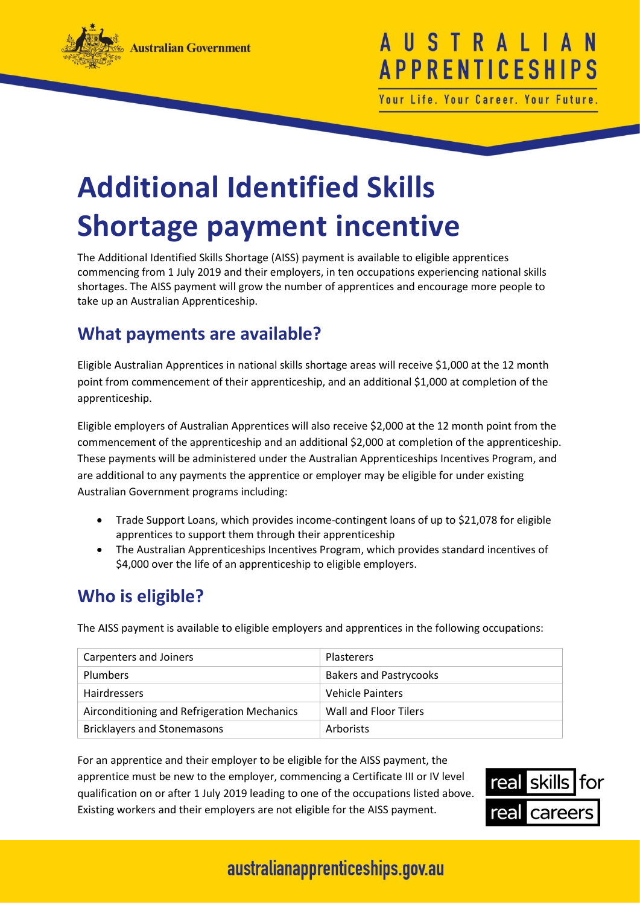

# USTRAL **APPRENTICESHI**

Your Life. Your Career. Your Future

# **Additional Identified Skills Shortage payment incentive**

The Additional Identified Skills Shortage (AISS) payment is available to eligible apprentices commencing from 1 July 2019 and their employers, in ten occupations experiencing national skills shortages. The AISS payment will grow the number of apprentices and encourage more people to take up an Australian Apprenticeship.

#### **What payments are available?**

Eligible Australian Apprentices in national skills shortage areas will receive \$1,000 at the 12 month point from commencement of their apprenticeship, and an additional \$1,000 at completion of the apprenticeship.

Eligible employers of Australian Apprentices will also receive \$2,000 at the 12 month point from the commencement of the apprenticeship and an additional \$2,000 at completion of the apprenticeship. These payments will be administered under the Australian Apprenticeships Incentives Program, and are additional to any payments the apprentice or employer may be eligible for under existing Australian Government programs including:

- Trade Support Loans, which provides income-contingent loans of up to \$21,078 for eligible apprentices to support them through their apprenticeship
- The Australian Apprenticeships Incentives Program, which provides standard incentives of \$4,000 over the life of an apprenticeship to eligible employers.

#### **Who is eligible?**

The AISS payment is available to eligible employers and apprentices in the following occupations:

| Carpenters and Joiners                      | <b>Plasterers</b>             |
|---------------------------------------------|-------------------------------|
| <b>Plumbers</b>                             | <b>Bakers and Pastrycooks</b> |
| <b>Hairdressers</b>                         | Vehicle Painters              |
| Airconditioning and Refrigeration Mechanics | Wall and Floor Tilers         |
| <b>Bricklayers and Stonemasons</b>          | Arborists                     |

For an apprentice and their employer to be eligible for the AISS payment, the apprentice must be new to the employer, commencing a Certificate III or IV level qualification on or after 1 July 2019 leading to one of the occupations listed above. Existing workers and their employers are not eligible for the AISS payment.



## australianapprenticeships.gov.au